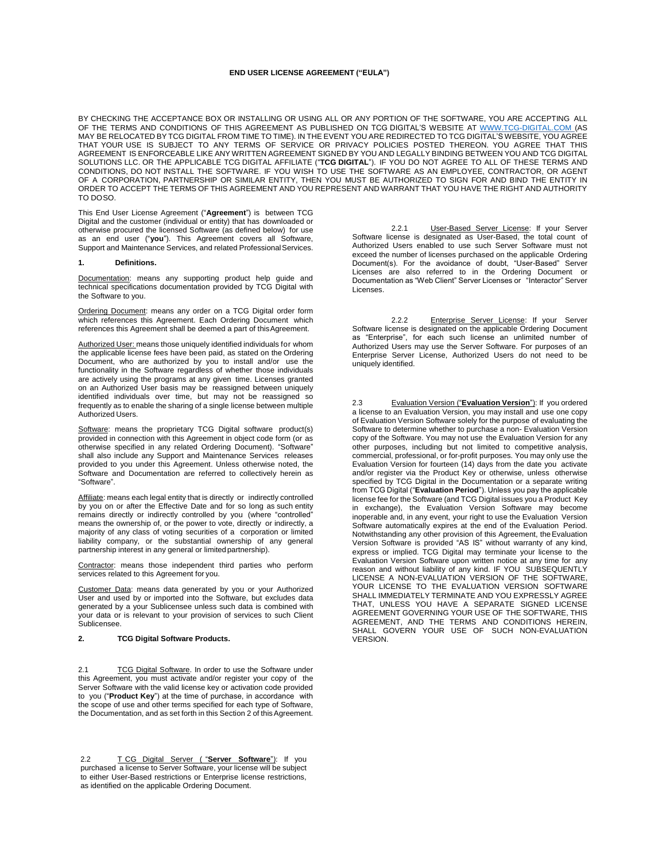### **END USER LICENSE AGREEMENT ("EULA")**

BY CHECKING THE ACCEPTANCE BOX OR INSTALLING OR USING ALL OR ANY PORTION OF THE SOFTWARE, YOU ARE ACCEPTING ALL OF THE TERMS AND CONDITIONS OF THIS AGREEMENT AS PUBLISHED ON TCG DIGITAL'S WEBSITE AT WWW.TCG-DIGITAL.COM (AS MAY BE RELOCATED BY TCG DIGITAL FROM TIME TO TIME). IN THE EVENT YOU ARE REDIRECTED TO TCG DIGITAL'S WEBSITE, YOU AGREE THAT YOUR USE IS SUBJECT TO ANY TERMS OF SERVICE OR PRIVACY POLICIES POSTED THEREON. YOU AGREE THAT THIS AGREEMENT IS ENFORCEABLE LIKE ANY WRITTEN AGREEMENT SIGNED BY YOU AND LEGALLY BINDING BETWEEN YOU AND TCG DIGITAL SOLUTIONS LLC. OR THE APPLICABLE TCG DIGITAL AFFILIATE ("**TCG DIGITAL**"). IF YOU DO NOT AGREE TO ALL OF THESE TERMS AND CONDITIONS, DO NOT INSTALL THE SOFTWARE. IF YOU WISH TO USE THE SOFTWARE AS AN EMPLOYEE, CONTRACTOR, OR AGENT OF A CORPORATION, PARTNERSHIP OR SIMILAR ENTITY, THEN YOU MUST BE AUTHORIZED TO SIGN FOR AND BIND THE ENTITY IN ORDER TO ACCEPT THE TERMS OF THIS AGREEMENT AND YOU REPRESENT AND WARRANT THAT YOU HAVE THE RIGHT AND AUTHORITY TO DOSO.

This End User License Agreement ("**Agreement**") is between TCG Digital and the customer (individual or entity) that has downloaded or otherwise procured the licensed Software (as defined below) for use as an end user ("**you**"). This Agreement covers all Software, Support and Maintenance Services, and related Professional Services.

## **1. Definitions.**

Documentation: means any supporting product help guide and technical specifications documentation provided by TCG Digital with the Software to you.

Ordering Document: means any order on a TCG Digital order form which references this Agreement. Each Ordering Document which references this Agreement shall be deemed a part of thisAgreement.

Authorized User: means those uniquely identified individuals for whom the applicable license fees have been paid, as stated on the Ordering Document, who are authorized by you to install and/or use the functionality in the Software regardless of whether those individuals are actively using the programs at any given time. Licenses granted on an Authorized User basis may be reassigned between uniquely identified individuals over time, but may not be reassigned so frequently as to enable the sharing of a single license between multiple Authorized Users.

Software: means the proprietary TCG Digital software product(s) provided in connection with this Agreement in object code form (or as otherwise specified in any related Ordering Document). "Software" shall also include any Support and Maintenance Services releases provided to you under this Agreement. Unless otherwise noted, the Software and Documentation are referred to collectively herein as "Software".

Affiliate: means each legal entity that is directly or indirectly controlled by you on or after the Effective Date and for so long as such entity remains directly or indirectly controlled by you (where "controlled" means the ownership of, or the power to vote, directly or indirectly, a majority of any class of voting securities of a corporation or limited liability company, or the substantial ownership of any general partnership interest in any general or limitedpartnership).

Contractor: means those independent third parties who perform services related to this Agreement for you.

Customer Data: means data generated by you or your Authorized User and used by or imported into the Software, but excludes data generated by a your Sublicensee unless such data is combined with your data or is relevant to your provision of services to such Client Sublicensee.

# **2. TCG Digital Software Products.**

2.1 TCG Digital Software. In order to use the Software under this Agreement, you must activate and/or register your copy of the Server Software with the valid license key or activation code provided to you ("**Product Key**") at the time of purchase, in accordance with the scope of use and other terms specified for each type of Software, the Documentation, and as set forth in this Section 2 of this Agreement.

2.2 T CG Digital Server ( "**Server Software**"): If you purchased a license to Server Software, your license will be subject to either User-Based restrictions or Enterprise license restrictions, as identified on the applicable Ordering Document.

2.2.1 User-Based Server License: If your Server Software license is designated as User-Based, the total count of Authorized Users enabled to use such Server Software must not exceed the number of licenses purchased on the applicable Ordering Document(s). For the avoidance of doubt, "User-Based" Server Licenses are also referred to in the Ordering Document or Documentation as "Web Client" Server Licenses or "Interactor" Server Licenses.

2.2.2 Enterprise Server License: If your Server Software license is designated on the applicable Ordering Document as "Enterprise", for each such license an unlimited number of Authorized Users may use the Server Software. For purposes of an Enterprise Server License, Authorized Users do not need to be uniquely identified.

2.3 Evaluation Version ("**Evaluation Version**"): If you ordered a license to an Evaluation Version, you may install and use one copy of Evaluation Version Software solely for the purpose of evaluating the Software to determine whether to purchase a non- Evaluation Version copy of the Software. You may not use the Evaluation Version for any other purposes, including but not limited to competitive analysis, commercial, professional, or for-profit purposes. You may only use the Evaluation Version for fourteen (14) days from the date you activate and/or register via the Product Key or otherwise, unless otherwise specified by TCG Digital in the Documentation or a separate writing from TCG Digital ("**Evaluation Period**"). Unless you pay the applicable license fee for the Software (and TCG Digital issues you a Product Key in exchange), the Evaluation Version Software may become inoperable and, in any event, your right to use the Evaluation Version Software automatically expires at the end of the Evaluation Period. Notwithstanding any other provision of this Agreement, the Evaluation Version Software is provided "AS IS" without warranty of any kind, express or implied. TCG Digital may terminate your license to the Evaluation Version Software upon written notice at any time for any reason and without liability of any kind. IF YOU SUBSEQUENTLY LICENSE A NON-EVALUATION VERSION OF THE SOFTWARE, YOUR LICENSE TO THE EVALUATION VERSION SOFTWARE SHALL IMMEDIATELY TERMINATE AND YOU EXPRESSLY AGREE THAT, UNLESS YOU HAVE A SEPARATE SIGNED LICENSE AGREEMENT GOVERNING YOUR USE OF THE SOFTWARE, THIS AGREEMENT, AND THE TERMS AND CONDITIONS HEREIN, SHALL GOVERN YOUR USE OF SUCH NON-EVALUATION VERSION.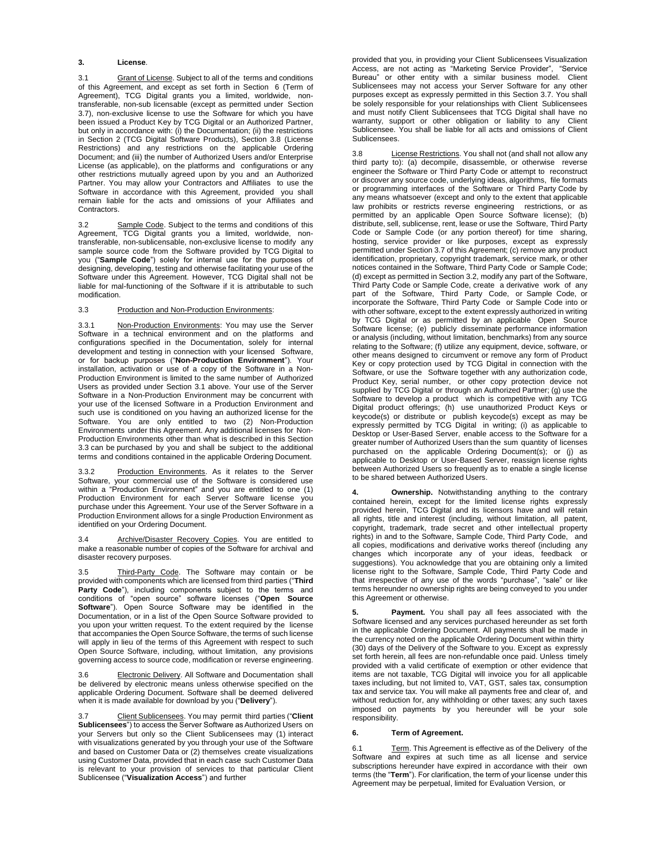### **3. License**.

3.1 Grant of License. Subject to all of the terms and conditions of this Agreement, and except as set forth in Section 6 (Term of Agreement), TCG Digital grants you a limited, worldwide, nontransferable, non-sub licensable (except as permitted under Section 3.7), non-exclusive license to use the Software for which you have been issued a Product Key by TCG Digital or an Authorized Partner, but only in accordance with: (i) the Documentation; (ii) the restrictions in Section 2 (TCG Digital Software Products), Section 3.8 (License Restrictions) and any restrictions on the applicable Ordering Document; and (iii) the number of Authorized Users and/or Enterprise License (as applicable), on the platforms and configurations or any other restrictions mutually agreed upon by you and an Authorized Partner. You may allow your Contractors and Affiliates to use the Software in accordance with this Agreement, provided you shall remain liable for the acts and omissions of your Affiliates and Contractors.

3.2 Sample Code. Subject to the terms and conditions of this Agreement, TCG Digital grants you a limited, worldwide, nontransferable, non-sublicensable, non-exclusive license to modify any sample source code from the Software provided by TCG Digital to you ("**Sample Code**") solely for internal use for the purposes of designing, developing, testing and otherwise facilitating your use of the Software under this Agreement. However, TCG Digital shall not be liable for mal-functioning of the Software if it is attributable to such modification.

## 3.3 Production and Non-Production Environments:

3.3.1 Non-Production Environments: You may use the Server Software in a technical environment and on the platforms and configurations specified in the Documentation, solely for internal development and testing in connection with your licensed Software, or for backup purposes ("**Non-Production Environment**"). Your installation, activation or use of a copy of the Software in a Non-Production Environment is limited to the same number of Authorized Users as provided under Section 3.1 above. Your use of the Server Software in a Non-Production Environment may be concurrent with your use of the licensed Software in a Production Environment and such use is conditioned on you having an authorized license for the Software. You are only entitled to two (2) Non-Production Environments under this Agreement. Any additional licenses for Non-Production Environments other than what is described in this Section 3.3 can be purchased by you and shall be subject to the additional terms and conditions contained in the applicable Ordering Document.

3.3.2 Production Environments. As it relates to the Server Software, your commercial use of the Software is considered use within a "Production Environment" and you are entitled to one (1) Production Environment for each Server Software license you purchase under this Agreement. Your use of the Server Software in a Production Environment allows for a single Production Environment as identified on your Ordering Document.

3.4 Archive/Disaster Recovery Copies. You are entitled to make a reasonable number of copies of the Software for archival and disaster recovery purposes.

3.5 Third-Party Code. The Software may contain or be provided with components which are licensed from third parties ("**Third**  Party Code"), including components subject to the terms and conditions of "open source" software licenses ("**Open Source Software**"). Open Source Software may be identified in the Documentation, or in a list of the Open Source Software provided to you upon your written request. To the extent required by the license that accompanies the Open Source Software, the terms of such license will apply in lieu of the terms of this Agreement with respect to such Open Source Software, including, without limitation, any provisions governing access to source code, modification or reverse engineering.

3.6 Electronic Delivery. All Software and Documentation shall be delivered by electronic means unless otherwise specified on the applicable Ordering Document. Software shall be deemed delivered when it is made available for download by you ("**Delivery**").

3.7 Client Sublicensees. You may permit third parties ("**Client Sublicensees**") to access the Server Software as Authorized Users on your Servers but only so the Client Sublicensees may (1) interact with visualizations generated by you through your use of the Software and based on Customer Data or (2) themselves create visualizations using Customer Data, provided that in each case such Customer Data is relevant to your provision of services to that particular Client Sublicensee ("**Visualization Access**") and further

provided that you, in providing your Client Sublicensees Visualization Access, are not acting as "Marketing Service Provider", "Service Bureau" or other entity with a similar business model. Client Sublicensees may not access your Server Software for any other purposes except as expressly permitted in this Section 3.7. You shall be solely responsible for your relationships with Client Sublicensees and must notify Client Sublicensees that TCG Digital shall have no warranty, support or other obligation or liability to any Client Sublicensee. You shall be liable for all acts and omissions of Client Sublicensees.

3.8 License Restrictions. You shall not (and shall not allow any third party to): (a) decompile, disassemble, or otherwise reverse engineer the Software or Third Party Code or attempt to reconstruct or discover any source code, underlying ideas, algorithms, file formats or programming interfaces of the Software or Third Party Code by any means whatsoever (except and only to the extent that applicable law prohibits or restricts reverse engineering restrictions, or as permitted by an applicable Open Source Software license); (b) distribute, sell, sublicense, rent, lease or use the Software, Third Party Code or Sample Code (or any portion thereof) for time sharing, hosting, service provider or like purposes, except as expressly permitted under Section 3.7 of this Agreement; (c) remove any product identification, proprietary, copyright trademark, service mark, or other notices contained in the Software, Third Party Code or Sample Code; (d) except as permitted in Section 3.2, modify any part of the Software, Third Party Code or Sample Code, create a derivative work of any part of the Software, Third Party Code, or Sample Code, or incorporate the Software, Third Party Code or Sample Code into or with other software, except to the extent expressly authorized in writing by TCG Digital or as permitted by an applicable Open Source Software license; (e) publicly disseminate performance information or analysis (including, without limitation, benchmarks) from any source relating to the Software; (f) utilize any equipment, device, software, or other means designed to circumvent or remove any form of Product Key or copy protection used by TCG Digital in connection with the Software, or use the Software together with any authorization code, Product Key, serial number, or other copy protection device not supplied by TCG Digital or through an Authorized Partner; (g) use the Software to develop a product which is competitive with any TCG Digital product offerings; (h) use unauthorized Product Keys or keycode(s) or distribute or publish keycode(s) except as may be expressly permitted by TCG Digital in writing; (i) as applicable to Desktop or User-Based Server, enable access to the Software for a greater number of Authorized Users than the sum quantity of licenses purchased on the applicable Ordering Document(s); or (j) as applicable to Desktop or User-Based Server, reassign license rights between Authorized Users so frequently as to enable a single license to be shared between Authorized Users.

**4. Ownership.** Notwithstanding anything to the contrary contained herein, except for the limited license rights expressly provided herein, TCG Digital and its licensors have and will retain all rights, title and interest (including, without limitation, all patent, copyright, trademark, trade secret and other intellectual property rights) in and to the Software, Sample Code, Third Party Code, and all copies, modifications and derivative works thereof (including any changes which incorporate any of your ideas, feedback or suggestions). You acknowledge that you are obtaining only a limited license right to the Software, Sample Code, Third Party Code and that irrespective of any use of the words "purchase", "sale" or like terms hereunder no ownership rights are being conveyed to you under this Agreement or otherwise.

**5. Payment.** You shall pay all fees associated with the Software licensed and any services purchased hereunder as set forth in the applicable Ordering Document. All payments shall be made in the currency noted on the applicable Ordering Document within thirty (30) days of the Delivery of the Software to you. Except as expressly set forth herein, all fees are non-refundable once paid. Unless timely provided with a valid certificate of exemption or other evidence that items are not taxable, TCG Digital will invoice you for all applicable taxes including, but not limited to, VAT, GST, sales tax, consumption tax and service tax. You will make all payments free and clear of, and without reduction for, any withholding or other taxes; any such taxes imposed on payments by you hereunder will be your sole responsibility.

#### **6. Term of Agreement.**

6.1 Term. This Agreement is effective as of the Delivery of the Software and expires at such time as all license and service subscriptions hereunder have expired in accordance with their own terms (the "**Term**"). For clarification, the term of your license under this Agreement may be perpetual, limited for Evaluation Version, or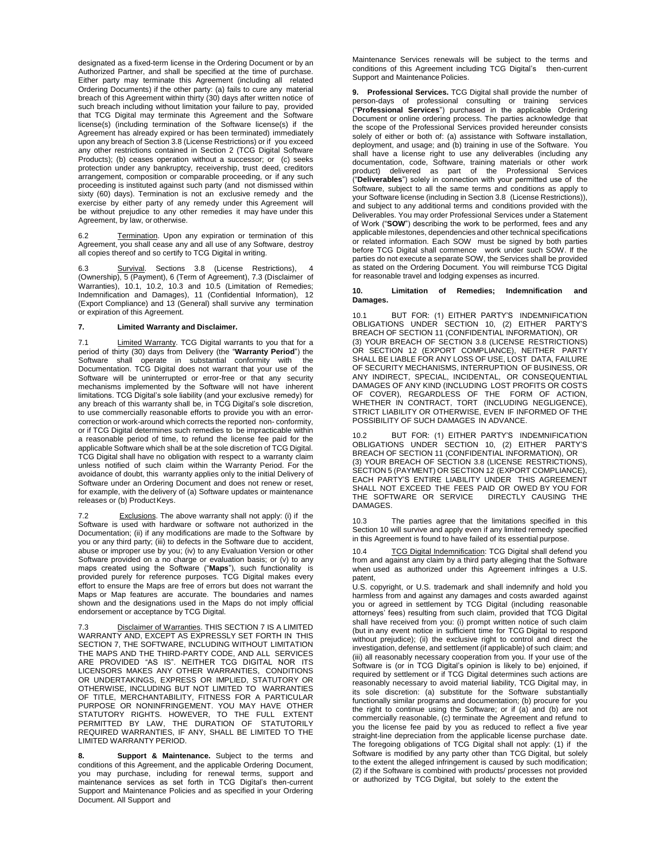designated as a fixed-term license in the Ordering Document or by an Authorized Partner, and shall be specified at the time of purchase. Either party may terminate this Agreement (including all related Ordering Documents) if the other party: (a) fails to cure any material breach of this Agreement within thirty (30) days after written notice of such breach including without limitation your failure to pay, provided that TCG Digital may terminate this Agreement and the Software license(s) (including termination of the Software license(s) if the Agreement has already expired or has been terminated) immediately upon any breach of Section 3.8 (License Restrictions) or if you exceed any other restrictions contained in Section 2 (TCG Digital Software Products); (b) ceases operation without a successor; or (c) seeks protection under any bankruptcy, receivership, trust deed, creditors arrangement, composition or comparable proceeding, or if any such proceeding is instituted against such party (and not dismissed within sixty (60) days). Termination is not an exclusive remedy and the exercise by either party of any remedy under this Agreement will be without prejudice to any other remedies it may have under this Agreement, by law, or otherwise.

Termination. Upon any expiration or termination of this Agreement, you shall cease any and all use of any Software, destroy all copies thereof and so certify to TCG Digital in writing.

Survival. Sections 3.8 (License Restrictions), (Ownership), 5 (Payment), 6 (Term of Agreement), 7.3 (Disclaimer of Warranties), 10.1, 10.2, 10.3 and 10.5 (Limitation of Remedies; Indemnification and Damages), 11 (Confidential Information), 12 (Export Compliance) and 13 (General) shall survive any termination or expiration of this Agreement.

### **7. Limited Warranty and Disclaimer.**

7.1 Limited Warranty. TCG Digital warrants to you that for a period of thirty (30) days from Delivery (the "**Warranty Period**") the Software shall operate in substantial conformity with the Documentation. TCG Digital does not warrant that your use of the Software will be uninterrupted or error-free or that any security mechanisms implemented by the Software will not have inherent limitations. TCG Digital's sole liability (and your exclusive remedy) for any breach of this warranty shall be, in TCG Digital's sole discretion, to use commercially reasonable efforts to provide you with an errorcorrection or work-around which corrects the reported non- conformity, or if TCG Digital determines such remedies to be impracticable within a reasonable period of time, to refund the license fee paid for the applicable Software which shall be at the sole discretion of TCG Digital. TCG Digital shall have no obligation with respect to a warranty claim unless notified of such claim within the Warranty Period. For the avoidance of doubt, this warranty applies only to the initial Delivery of Software under an Ordering Document and does not renew or reset, for example, with the delivery of (a) Software updates or maintenance releases or (b) Product Keys.

7.2 Exclusions. The above warranty shall not apply: (i) if the Software is used with hardware or software not authorized in the Documentation; (ii) if any modifications are made to the Software by you or any third party; (iii) to defects in the Software due to accident, abuse or improper use by you; (iv) to any Evaluation Version or other Software provided on a no charge or evaluation basis; or (v) to any maps created using the Software ("**Maps**"), such functionality is provided purely for reference purposes. TCG Digital makes every effort to ensure the Maps are free of errors but does not warrant the Maps or Map features are accurate. The boundaries and names shown and the designations used in the Maps do not imply official endorsement or acceptance by TCG Digital.

7.3 Disclaimer of Warranties. THIS SECTION 7 IS A LIMITED WARRANTY AND, EXCEPT AS EXPRESSLY SET FORTH IN THIS SECTION 7, THE SOFTWARE, INCLUDING WITHOUT LIMITATION THE MAPS AND THE THIRD-PARTY CODE, AND ALL SERVICES ARE PROVIDED "AS IS". NEITHER TCG DIGITAL NOR ITS LICENSORS MAKES ANY OTHER WARRANTIES, CONDITIONS OR UNDERTAKINGS, EXPRESS OR IMPLIED, STATUTORY OR OTHERWISE, INCLUDING BUT NOT LIMITED TO WARRANTIES OF TITLE, MERCHANTABILITY, FITNESS FOR A PARTICULAR PURPOSE OR NONINFRINGEMENT. YOU MAY HAVE OTHER STATUTORY RIGHTS. HOWEVER, TO THE FULL EXTENT PERMITTED BY LAW, THE DURATION OF STATUTORILY REQUIRED WARRANTIES, IF ANY, SHALL BE LIMITED TO THE LIMITED WARRANTY PERIOD.

**8. Support & Maintenance.** Subject to the terms and conditions of this Agreement, and the applicable Ordering Document, you may purchase, including for renewal terms, support and maintenance services as set forth in TCG Digital's then-current Support and Maintenance Policies and as specified in your Ordering Document. All Support and

Maintenance Services renewals will be subject to the terms and conditions of this Agreement including TCG Digital's then-current Support and Maintenance Policies.

**9. Professional Services.** TCG Digital shall provide the number of person-days of professional consulting or training services ("**Professional Services**") purchased in the applicable Ordering Document or online ordering process. The parties acknowledge that the scope of the Professional Services provided hereunder consists solely of either or both of: (a) assistance with Software installation, deployment, and usage; and (b) training in use of the Software. You shall have a license right to use any deliverables (including any documentation, code, Software, training materials or other work product) delivered as part of the Professional Services ("**Deliverables**") solely in connection with your permitted use of the Software, subject to all the same terms and conditions as apply to your Software license (including in Section 3.8 (License Restrictions)), and subject to any additional terms and conditions provided with the Deliverables. You may order Professional Services under a Statement of Work ("**SOW**") describing the work to be performed, fees and any applicable milestones, dependencies and other technical specifications or related information. Each SOW must be signed by both parties before TCG Digital shall commence work under such SOW. If the parties do not execute a separate SOW, the Services shall be provided as stated on the Ordering Document. You will reimburse TCG Digital for reasonable travel and lodging expenses as incurred.

## **10. Limitation of Remedies; Indemnification and Damages.**

10.1 BUT FOR: (1) EITHER PARTY'S INDEMNIFICATION OBLIGATIONS UNDER SECTION 10, (2) EITHER PARTY'S BREACH OF SECTION 11 (CONFIDENTIAL INFORMATION), OR (3) YOUR BREACH OF SECTION 3.8 (LICENSE RESTRICTIONS) OR SECTION 12 (EXPORT COMPLIANCE), NEITHER PARTY SHALL BE LIABLE FOR ANY LOSS OF USE, LOST DATA, FAILURE OF SECURITY MECHANISMS, INTERRUPTION OF BUSINESS, OR ANY INDIRECT, SPECIAL, INCIDENTAL, OR CONSEQUENTIAL DAMAGES OF ANY KIND (INCLUDING LOST PROFITS OR COSTS OF COVER), REGARDLESS OF THE FORM OF ACTION, WHETHER IN CONTRACT, TORT (INCLUDING NEGLIGENCE), STRICT LIABILITY OR OTHERWISE, EVEN IF INFORMED OF THE POSSIBILITY OF SUCH DAMAGES IN ADVANCE.

BUT FOR: (1) EITHER PARTY'S INDEMNIFICATION OBLIGATIONS UNDER SECTION 10, (2) EITHER PARTY'S BREACH OF SECTION 11 (CONFIDENTIAL INFORMATION), OR (3) YOUR BREACH OF SECTION 3.8 (LICENSE RESTRICTIONS), SECTION 5 (PAYMENT) OR SECTION 12 (EXPORT COMPLIANCE), EACH PARTY'S ENTIRE LIABILITY UNDER THIS AGREEMENT SHALL NOT EXCEED THE FEES PAID OR OWED BY YOU FOR<br>THE SOFTWARE OR SERVICE DIRECTLY CAUSING THE THE SOFTWARE OR SERVICE DAMAGES.

10.3 The parties agree that the limitations specified in this Section 10 will survive and apply even if any limited remedy specified in this Agreement is found to have failed of its essential purpose.

10.4 TCG Digital Indemnification: TCG Digital shall defend you from and against any claim by a third party alleging that the Software when used as authorized under this Agreement infringes a U.S. patent,

U.S. copyright, or U.S. trademark and shall indemnify and hold you harmless from and against any damages and costs awarded against you or agreed in settlement by TCG Digital (including reasonable attorneys' fees) resulting from such claim, provided that TCG Digital shall have received from you: (i) prompt written notice of such claim (but in any event notice in sufficient time for TCG Digital to respond without prejudice); (ii) the exclusive right to control and direct the investigation, defense, and settlement (if applicable) of such claim; and (iii) all reasonably necessary cooperation from you. If your use of the Software is (or in TCG Digital's opinion is likely to be) enjoined, if required by settlement or if TCG Digital determines such actions are reasonably necessary to avoid material liability, TCG Digital may, in its sole discretion: (a) substitute for the Software substantially functionally similar programs and documentation; (b) procure for you the right to continue using the Software; or if (a) and (b) are not commercially reasonable, (c) terminate the Agreement and refund to you the license fee paid by you as reduced to reflect a five year straight-line depreciation from the applicable license purchase date. The foregoing obligations of TCG Digital shall not apply: (1) if the Software is modified by any party other than TCG Digital, but solely to the extent the alleged infringement is caused by such modification; (2) if the Software is combined with products/ processes not provided or authorized by TCG Digital, but solely to the extent the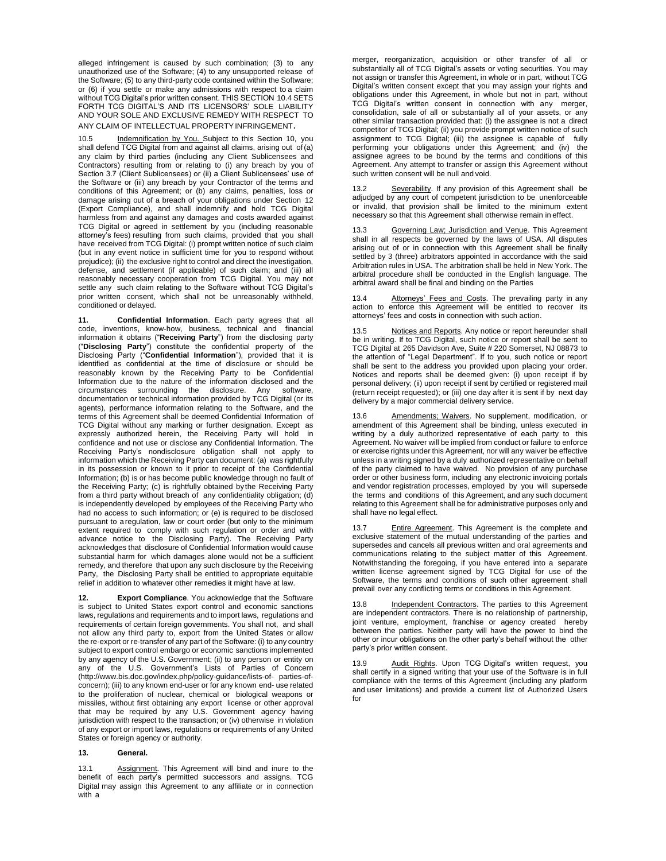alleged infringement is caused by such combination; (3) to any unauthorized use of the Software; (4) to any unsupported release of the Software; (5) to any third-party code contained within the Software; or (6) if you settle or make any admissions with respect to a claim without TCG Digital's prior written consent. THIS SECTION 10.4 SETS FORTH TCG DIGITAL'S AND ITS LICENSORS' SOLE LIABILITY AND YOUR SOLE AND EXCLUSIVE REMEDY WITH RESPECT TO ANY CLAIM OF INTELLECTUAL PROPERTYINFRINGEMENT.

10.5 Indemnification by You. Subject to this Section 10, you shall defend TCG Digital from and against all claims, arising out of(a) any claim by third parties (including any Client Sublicensees and Contractors) resulting from or relating to (i) any breach by you of Section 3.7 (Client Sublicensees) or (ii) a Client Sublicensees' use of the Software or (iii) any breach by your Contractor of the terms and conditions of this Agreement; or (b) any claims, penalties, loss or damage arising out of a breach of your obligations under Section 12 (Export Compliance), and shall indemnify and hold TCG Digital harmless from and against any damages and costs awarded against TCG Digital or agreed in settlement by you (including reasonable attorney's fees) resulting from such claims, provided that you shall have received from TCG Digital: (i) prompt written notice of such claim (but in any event notice in sufficient time for you to respond without prejudice); (ii) the exclusive right to control and direct the investigation, defense, and settlement (if applicable) of such claim; and (iii) all reasonably necessary cooperation from TCG Digital. You may not settle any such claim relating to the Software without TCG Digital's prior written consent, which shall not be unreasonably withheld, conditioned or delayed.

**11. Confidential Information**. Each party agrees that all code, inventions, know-how, business, technical and financial information it obtains ("**Receiving Party**") from the disclosing party ("**Disclosing Party**") constitute the confidential property of the Disclosing Party ("**Confidential Information**"), provided that it is identified as confidential at the time of disclosure or should be reasonably known by the Receiving Party to be Confidential Information due to the nature of the information disclosed and the circumstances surrounding the disclosure. Any software. circumstances surrounding the disclosure. Any documentation or technical information provided by TCG Digital (or its agents), performance information relating to the Software, and the terms of this Agreement shall be deemed Confidential Information of TCG Digital without any marking or further designation. Except as expressly authorized herein, the Receiving Party will hold in confidence and not use or disclose any Confidential Information. The Receiving Party's nondisclosure obligation shall not apply to information which the Receiving Party can document: (a) was rightfully in its possession or known to it prior to receipt of the Confidential Information; (b) is or has become public knowledge through no fault of the Receiving Party; (c) is rightfully obtained bythe Receiving Party from a third party without breach of any confidentiality obligation; (d) is independently developed by employees of the Receiving Party who had no access to such information; or (e) is required to be disclosed pursuant to a regulation, law or court order (but only to the minimum extent required to comply with such regulation or order and with advance notice to the Disclosing Party). The Receiving Party acknowledges that disclosure of Confidential Information would cause substantial harm for which damages alone would not be a sufficient remedy, and therefore that upon any such disclosure by the Receiving Party, the Disclosing Party shall be entitled to appropriate equitable relief in addition to whatever other remedies it might have at law.

**12. Export Compliance**. You acknowledge that the Software is subject to United States export control and economic sanctions laws, regulations and requirements and to import laws, regulations and requirements of certain foreign governments. You shall not, and shall not allow any third party to, export from the United States or allow the re-export or re-transfer of any part of the Software: (i) to any country subject to export control embargo or economic sanctions implemented by any agency of the U.S. Government; (ii) to any person or entity on any of the U.S. Government's Lists of Parties of Concern [\(http://www.bis.doc.gov/index.php/policy-guidance/lists-of-](http://www.bis.doc.gov/index.php/policy-guidance/lists-of-) parties-ofconcern); (iii) to any known end-user or for any known end- use related to the proliferation of nuclear, chemical or biological weapons or missiles, without first obtaining any export license or other approval that may be required by any U.S. Government agency having jurisdiction with respect to the transaction; or (iv) otherwise in violation of any export or import laws, regulations or requirements of any United States or foreign agency or authority.

# **13. General.**

13.1 Assignment. This Agreement will bind and inure to the benefit of each party's permitted successors and assigns. TCG Digital may assign this Agreement to any affiliate or in connection with a

merger, reorganization, acquisition or other transfer of all or substantially all of TCG Digital's assets or voting securities. You may not assign or transfer this Agreement, in whole or in part, without TCG Digital's written consent except that you may assign your rights and obligations under this Agreement, in whole but not in part, without TCG Digital's written consent in connection with any merger, consolidation, sale of all or substantially all of your assets, or any other similar transaction provided that: (i) the assignee is not a direct competitor of TCG Digital; (ii) you provide prompt written notice of such assignment to TCG Digital; (iii) the assignee is capable of fully performing your obligations under this Agreement; and (iv) the assignee agrees to be bound by the terms and conditions of this Agreement. Any attempt to transfer or assign this Agreement without such written consent will be null and void.

13.2 Severability. If any provision of this Agreement shall be adjudged by any court of competent jurisdiction to be unenforceable or invalid, that provision shall be limited to the minimum extent necessary so that this Agreement shall otherwise remain in effect.

13.3 Governing Law; Jurisdiction and Venue. This Agreement shall in all respects be governed by the laws of USA. All disputes arising out of or in connection with this Agreement shall be finally settled by 3 (three) arbitrators appointed in accordance with the said Arbitration rules in USA. The arbitration shall be held in New York. The arbitral procedure shall be conducted in the English language. The arbitral award shall be final and binding on the Parties

Attorneys' Fees and Costs</u>. The prevailing party in any action to enforce this Agreement will be entitled to recover its attorneys' fees and costs in connection with such action.

13.5 **Notices and Reports**. Any notice or report hereunder shall be in writing. If to TCG Digital, such notice or report shall be sent to TCG Digital at 265 Davidson Ave, Suite # 220 Somerset, NJ 08873 to the attention of "Legal Department". If to you, such notice or report shall be sent to the address you provided upon placing your order. Notices and reports shall be deemed given: (i) upon receipt if by personal delivery; (ii) upon receipt if sent by certified or registered mail (return receipt requested); or (iii) one day after it is sent if by next day delivery by a major commercial delivery service.

13.6 Amendments; Waivers. No supplement, modification, or amendment of this Agreement shall be binding, unless executed in writing by a duly authorized representative of each party to this Agreement. No waiver will be implied from conduct or failure to enforce or exercise rights under this Agreement, nor will any waiver be effective unless in a writing signed by a duly authorized representative on behalf of the party claimed to have waived. No provision of any purchase order or other business form, including any electronic invoicing portals and vendor registration processes, employed by you will supersede the terms and conditions of this Agreement, and any such document relating to this Agreement shall be for administrative purposes only and shall have no legal effect.

Entire Agreement. This Agreement is the complete and exclusive statement of the mutual understanding of the parties and supersedes and cancels all previous written and oral agreements and communications relating to the subject matter of this Agreement. Notwithstanding the foregoing, if you have entered into a separate written license agreement signed by TCG Digital for use of the Software, the terms and conditions of such other agreement shall prevail over any conflicting terms or conditions in this Agreement.

13.8 Independent Contractors. The parties to this Agreement are independent contractors. There is no relationship of partnership, joint venture, employment, franchise or agency created hereby between the parties. Neither party will have the power to bind the other or incur obligations on the other party's behalf without the other party's prior written consent.

Audit Rights. Upon TCG Digital's written request, you shall certify in a signed writing that your use of the Software is in full compliance with the terms of this Agreement (including any platform and user limitations) and provide a current list of Authorized Users  $f$ or